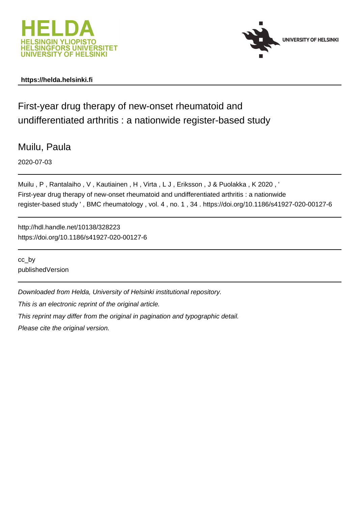



# **https://helda.helsinki.fi**

First-year drug therapy of new-onset rheumatoid and undifferentiated arthritis : a nationwide register-based study

Muilu, Paula

2020-07-03

Muilu , P , Rantalaiho , V , Kautiainen , H , Virta , L J , Eriksson , J & Puolakka , K 2020 , ' First-year drug therapy of new-onset rheumatoid and undifferentiated arthritis : a nationwide register-based study ' , BMC rheumatology , vol. 4 , no. 1 , 34 . https://doi.org/10.1186/s41927-020-00127-6

http://hdl.handle.net/10138/328223 https://doi.org/10.1186/s41927-020-00127-6

cc\_by publishedVersion

Downloaded from Helda, University of Helsinki institutional repository.

This is an electronic reprint of the original article.

This reprint may differ from the original in pagination and typographic detail.

Please cite the original version.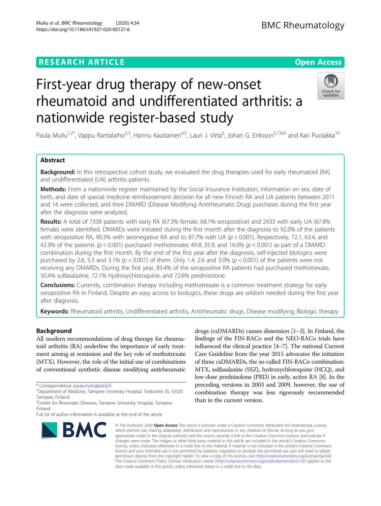# **RESEARCH ARTICLE Example 2014 12:30 The Contract of Contract ACCESS**

# First-year drug therapy of new-onset rheumatoid and undifferentiated arthritis: a nationwide register-based study

Paula Muilu<sup>1,2\*</sup>, Vappu Rantalaiho<sup>2,3</sup>, Hannu Kautiainen<sup>4,5</sup>, Lauri J. Virta<sup>6</sup>, Johan G. Eriksson<sup>5,7,8,9</sup> and Kari Puolakka<sup>10</sup>

# Abstract

Background: In this retrospective cohort study, we evaluated the drug therapies used for early rheumatoid (RA) and undifferentiated (UA) arthritis patients.

Methods: From a nationwide register maintained by the Social Insurance Institution, information on sex, date of birth, and date of special medicine reimbursement decision for all new Finnish RA and UA patients between 2011 and 14 were collected, and their DMARD (Disease Modifying Antirheumatic Drug) purchases during the first year after the diagnosis were analyzed.

Results: A total of 7338 patients with early RA (67.3% female, 68.1% seropositive) and 2433 with early UA (67.8% female) were identified. DMARDs were initiated during the first month after the diagnosis to 92.0% of the patients with seropositive RA, 90.3% with seronegative RA and to 87.7% with UA ( $p < 0.001$ ). Respectively, 72.1, 63.4, and 42.9% of the patients ( $p < 0.001$ ) purchased methotrexate; 49.8, 35.9, and 16.0% ( $p < 0.001$ ) as part of a DMARD combination during the first month. By the end of the first year after the diagnosis, self-injected biologics were purchased by 2.6, 5.3 and 3.1% ( $p < 0.001$ ) of them. Only 1.4, 2.6 and 3.0% ( $p < 0.001$ ) of the patients were not receiving any DMARDs. During the first year, 83.4% of the seropositive RA patients had purchased methotrexate, 50.4% sulfasalazine, 72.1% hydroxychloroquine, and 72.6% prednisolone.

**Conclusions:** Currently, combination therapy including methotrexate is a common treatment strategy for early seropositive RA in Finland. Despite an easy access to biologics, these drugs are seldom needed during the first year after diagnosis.

Keywords: Rheumatoid arthritis, Undifferentiated arthritis, Antirheumatic drugs, Disease modifying, Biologic therapy

# Background

All modern recommendations of drug therapy for rheumatoid arthritis (RA) underline the importance of early treatment aiming at remission and the key role of methotrexate (MTX). However, the role of the initial use of combinations of conventional synthetic disease modifying antirheumatic

# Muilu et al. BMC Rheumatology (2020) 4:34<br>https://dxi.cra/10.1126/141937.239.00137.6 https://doi.org/10.1186/s41927-020-00127-6

**BMC** 

© The Author(s), 2020 **Open Access** This article is licensed under a Creative Commons Attribution 4.0 International License, which permits use, sharing, adaptation, distribution and reproduction in any medium or format, as long as you give appropriate credit to the original author(s) and the source, provide a link to the Creative Commons licence, and indicate if changes were made. The images or other third party material in this article are included in the article's Creative Commons licence, unless indicated otherwise in a credit line to the material. If material is not included in the article's Creative Commons licence and your intended use is not permitted by statutory regulation or exceeds the permitted use, you will need to obtain permission directly from the copyright holder. To view a copy of this licence, visit [http://creativecommons.org/licenses/by/4.0/.](http://creativecommons.org/licenses/by/4.0/) The Creative Commons Public Domain Dedication waiver [\(http://creativecommons.org/publicdomain/zero/1.0/](http://creativecommons.org/publicdomain/zero/1.0/)) applies to the data made available in this article, unless otherwise stated in a credit line to the data.

drugs (csDMARDs) causes dissension [1–3]. In Finland, the findings of the FIN-RACo and the NEO-RACo trials have influenced the clinical practice [4–7]. The national Current Care Guideline from the year 2015 advocates the initiation of three csDMARDs, the so-called FIN-RACo combination: MTX, sulfasalazine (SSZ), hydroxychloroquine (HCQ), and low-dose prednisolone (PRD) in early, active RA [8]. In the preceding versions in 2003 and 2009, however, the use of combination therapy was less rigorously recommended than in the current version.





<sup>\*</sup> Correspondence: [paula.muilu@pshp.fi](mailto:paula.muilu@pshp.fi) <sup>1</sup>

<sup>&</sup>lt;sup>1</sup>Department of Medicine, Tampere University Hospital, Teiskontie 35, 33520 Tampere, Finland

<sup>&</sup>lt;sup>2</sup> Centre for Rheumatic Diseases, Tampere University Hospital, Tampere, Finland

Full list of author information is available at the end of the article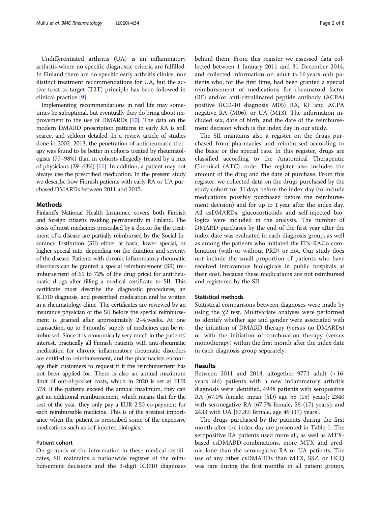Undifferentiated arthritis (UA) is an inflammatory arthritis where no specific diagnostic criteria are fulfilled. In Finland there are no specific early arthritis clinics, nor distinct treatment recommendations for UA, but the active treat-to-target (T2T) principle has been followed in clinical practice [9].

Implementing recommendations in real life may sometimes be suboptimal, but eventually they do bring about improvement to the use of DMARDs [10]. The data on the modern DMARD prescription patterns in early RA is still scarce, and seldom detailed. In a review article of studies done in 2002–2013, the penetration of antirheumatic therapy was found to be better in cohorts treated by rheumatologists (77–98%) than in cohorts allegedly treated by a mix of physicians (39–63%) [11]. In addition, a patient may not always use the prescribed medication. In the present study we describe how Finnish patients with early RA or UA purchased DMARDs between 2011 and 2015.

## **Methods**

Finland's National Health Insurance covers both Finnish and foreign citizens residing permanently in Finland. The costs of most medicines prescribed by a doctor for the treatment of a disease are partially reimbursed by the Social Insurance Institution (SII) either at basic, lower special, or higher special rate, depending on the duration and severity of the disease. Patients with chronic inflammatory rheumatic disorders can be granted a special reimbursement (SR) (reimbursement of 65 to 72% of the drug price) for antirheumatic drugs after filling a medical certificate to SII. This certificate must describe the diagnostic procedures, an ICD10 diagnosis, and prescribed medication and be written in a rheumatology clinic. The certificates are reviewed by an insurance physician of the SII before the special reimbursement is granted after approximately 2–4 weeks. At one transaction, up to 3 months' supply of medicines can be reimbursed. Since it is economically very much in the patients' interest, practically all Finnish patients with anti-rheumatic medication for chronic inflammatory rheumatic disorders are entitled to reimbursement, and the pharmacists encourage their customers to request it if the reimbursement has not been applied for. There is also an annual maximum limit of out-of-pocket costs, which in 2020 is set at EUR 578. If the patients exceed the annual maximum, they can get an additional reimbursement, which means that for the rest of the year, they only pay a EUR 2.50 co-payment for each reimbursable medicine. This is of the greatest importance when the patient is prescribed some of the expensive medications such as self-injected biologics.

### Patient cohort

On grounds of the information in these medical certificates, SII maintains a nationwide register of the reimbursement decisions and the 3-digit ICD10 diagnoses behind them. From this register we assessed data collected between 1 January 2011 and 31 December 2014, and collected information on adult  $($  > 16 years old) patients who, for the first time, had been granted a special reimbursement of medications for rheumatoid factor (RF) and/or anti-citrullinated peptide antibody (ACPA) positive (ICD-10 diagnosis M05) RA, RF and ACPA negative RA (M06), or UA (M13). The information included sex, date of birth, and the date of the reimbursement decision which is the index day in our study.

The SII maintains also a register on the drugs purchased from pharmacies and reimbursed according to the basic or the special rate. In this register, drugs are classified according to the Anatomical Therapeutic Chemical (ATC) code. The register also includes the amount of the drug and the date of purchase. From this register, we collected data on the drugs purchased by the study cohort for 31 days before the index day (to include medications possibly purchased before the reimbursement decision) and for up to 1 year after the index day. All csDMARDs, glucocorticoids and self-injected biologics were included in the analysis. The number of DMARD purchases by the end of the first year after the index date was evaluated in each diagnosis group, as well as among the patients who initiated the FIN-RACo combination (with or without PRD) or not. Our study does not include the small proportion of patients who have received intravenous biologicals in public hospitals at their cost, because these medications are not reimbursed and registered by the SII.

#### Statistical methods

Statistical comparisons between diagnoses were made by using the χ2 test. Multivariate analyses were performed to identify whether age and gender were associated with the initiation of DMARD therapy (versus no DMARDs) or with the initiation of combination therapy (versus monotherapy) within the first month after the index date in each diagnosis group separately.

## Results

Between 2011 and 2014, altogether 9771 adult  $(>16$ years old) patients with a new inflammatory arthritis diagnosis were identified, 4998 patients with seropositive RA [67.0% female, mean (SD) age 58 (15) years]; 2340 with seronegative RA [67.7% female, 56 (17) years]; and 2433 with UA [67.8% female, age 49 (17) years].

The drugs purchased by the patients during the first month after the index day are presented in Table 1. The seropositive RA patients used more all, as well as MTXbased csDMARD-combinations, more MTX and prednisolone than the seronegative RA or UA patients. The use of any other csDMARDs than MTX, SSZ, or HCQ was rare during the first months in all patient groups,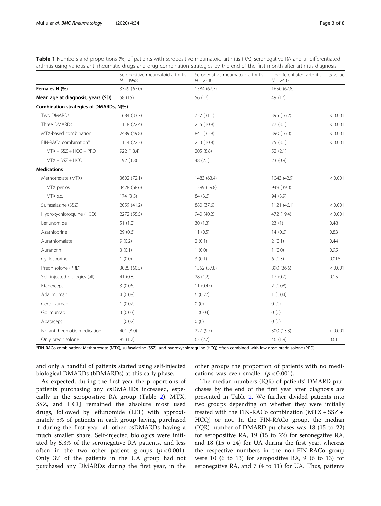| Table 1 Numbers and proportions (%) of patients with seropositive rheumatoid arthritis (RA), seronegative RA and undifferentiated<br>arthritis using various anti-rheumatic drugs and drug combination strategies by the end of the first month after arthritis diagnosis |                                                 |                                                 |                                          |            |  |  |  |  |
|---------------------------------------------------------------------------------------------------------------------------------------------------------------------------------------------------------------------------------------------------------------------------|-------------------------------------------------|-------------------------------------------------|------------------------------------------|------------|--|--|--|--|
|                                                                                                                                                                                                                                                                           | Seropositive rheumatoid arthritis<br>$N = 4998$ | Seronegative rheumatoid arthritis<br>$N = 2340$ | Undifferentiated arthritis<br>$N = 2433$ | $p$ -value |  |  |  |  |

|                                        | Seropositive rheumatoid arthritis<br>$N = 4998$ | Seronegative rheumatoid arthritis<br>$N = 2340$ | Undifferentiated arthritis<br>$N = 2433$ | <i>p</i> -value |
|----------------------------------------|-------------------------------------------------|-------------------------------------------------|------------------------------------------|-----------------|
| Females N (%)                          | 3349 (67.0)                                     | 1584 (67.7)                                     | 1650 (67.8)                              |                 |
| Mean age at diagnosis, years (SD)      | 58 (15)                                         | 56 (17)                                         | 49 (17)                                  |                 |
| Combination strategies of DMARDs, N(%) |                                                 |                                                 |                                          |                 |
| Two DMARDs                             | 1684 (33.7)                                     | 727 (31.1)                                      | 395 (16.2)                               | < 0.001         |
| Three DMARDs                           | 1118 (22.4)                                     | 255 (10.9)                                      | 77(3.1)                                  | < 0.001         |
| MTX-based combination                  | 2489 (49.8)                                     | 841 (35.9)                                      | 390 (16.0)                               | < 0.001         |
| FIN-RACo combination*                  | 1114(22.3)                                      | 253 (10.8)                                      | 75(3.1)                                  | < 0.001         |
| $MTX + SSZ + HCQ + PRD$                | 922 (18.4)                                      | 205 (8.8)                                       | 52(2.1)                                  |                 |
| $MTX + SSZ + HCQ$                      | 192 (3.8)                                       | 48 (2.1)                                        | 23(0.9)                                  |                 |
| <b>Medications</b>                     |                                                 |                                                 |                                          |                 |
| Methotrexate (MTX)                     | 3602 (72.1)                                     | 1483 (63.4)                                     | 1043 (42.9)                              | < 0.001         |
| MTX per os                             | 3428 (68.6)                                     | 1399 (59.8)                                     | 949 (39.0)                               |                 |
| MTX s.c.                               | 174(3.5)                                        | 84 (3.6)                                        | 94 (3.9)                                 |                 |
| Sulfasalazine (SSZ)                    | 2059 (41.2)                                     | 880 (37.6)                                      | 1121 (46.1)                              | < 0.001         |
| Hydroxychloroquine (HCQ)               | 2272 (55.5)                                     | 940 (40.2)                                      | 472 (19.4)                               | < 0.001         |
| Leflunomide                            | 51(1.0)                                         | 30(1.3)                                         | 23(1)                                    | 0.48            |
| Azathioprine                           | 29(0.6)                                         | 11(0.5)                                         | 14(0.6)                                  | 0.83            |
| Aurathiomalate                         | 9(0.2)                                          | 2(0.1)                                          | 2(0.1)                                   | 0.44            |
| Auranofin                              | 3(0.1)                                          | 1(0.0)                                          | 1(0.0)                                   | 0.95            |
| Cyclosporine                           | 1(0.0)                                          | 3(0.1)                                          | 6(0.3)                                   | 0.015           |
| Prednisolone (PRD)                     | 3025 (60.5)                                     | 1352 (57.8)                                     | 890 (36.6)                               | < 0.001         |
| Self-injected biologics (all)          | 41(0.8)                                         | 28 (1.2)                                        | 17(0.7)                                  | 0.15            |
| Etanercept                             | 3(0.06)                                         | 11(0.47)                                        | 2(0.08)                                  |                 |
| Adalimumab                             | 4(0.08)                                         | 6(0.27)                                         | 1(0.04)                                  |                 |
| Certolizumab                           | 1(0.02)                                         | 0(0)                                            | 0(0)                                     |                 |
| Golimumab                              | 3(0.03)                                         | 1(0.04)                                         | 0(0)                                     |                 |
| Abatacept                              | 1(0.02)                                         | 0(0)                                            | 0(0)                                     |                 |
| No antirheumatic medication            | 401 (8.0)                                       | 227 (9.7)                                       | 300 (13.3)                               | < 0.001         |
| Only prednisolone                      | 85 (1.7)                                        | 63(2.7)                                         | 46 (1.9)                                 | 0.61            |

\*FIN-RACo combination: Methotrexate (MTX), sulfasalazine (SSZ), and hydroxychloroquine (HCQ) often combined with low-dose prednisolone (PRD)

and only a handful of patients started using self-injected biological DMARDs (bDMARDs) at this early phase.

other groups the proportion of patients with no medications was even smaller ( $p < 0.001$ ).

As expected, during the first year the proportions of patients purchasing any csDMARDs increased, especially in the seropositive RA group (Table 2). MTX, SSZ, and HCQ remained the absolute most used drugs, followed by leflunomide (LEF) with approximately 5% of patients in each group having purchased it during the first year; all other csDMARDs having a much smaller share. Self-injected biologics were initiated by 5.3% of the seronegative RA patients, and less often in the two other patient groups  $(p < 0.001)$ . Only 3% of the patients in the UA group had not purchased any DMARDs during the first year, in the

The median numbers (IQR) of patients' DMARD purchases by the end of the first year after diagnosis are presented in Table 2. We further divided patients into two groups depending on whether they were initially treated with the FIN-RACo combination (MTX + SSZ + HCQ) or not. In the FIN-RACo group, the median (IQR) number of DMARD purchases was 18 (15 to 22) for seropositive RA, 19 (15 to 22) for seronegative RA, and 18 (15 o 24) for UA during the first year, whereas the respective numbers in the non-FIN-RACo group were 10 (6 to 13) for seropositive RA, 9 (6 to 13) for seronegative RA, and 7 (4 to 11) for UA. Thus, patients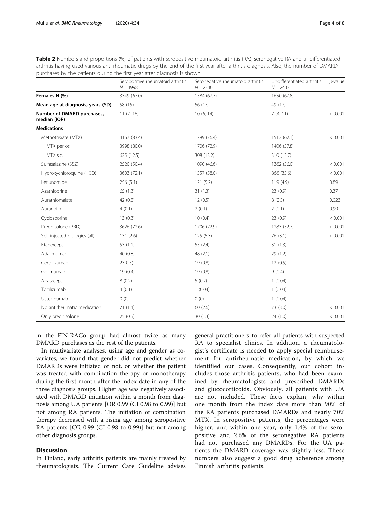|                                            | Seropositive rheumatoid arthritis<br>$N = 4998$ | Seronegative rheumatoid arthritis<br>$N = 2340$ | Undifferentiated arthritis<br>$N = 2433$ | $p$ -value |
|--------------------------------------------|-------------------------------------------------|-------------------------------------------------|------------------------------------------|------------|
| Females N (%)                              | 3349 (67.0)                                     | 1584 (67.7)                                     | 1650 (67.8)                              |            |
| Mean age at diagnosis, years (SD)          | 58 (15)                                         | 56 (17)                                         | 49 (17)                                  |            |
| Number of DMARD purchases,<br>median (IQR) | 11(7, 16)                                       | 10(6, 14)                                       | 7(4, 11)                                 | < 0.001    |
| <b>Medications</b>                         |                                                 |                                                 |                                          |            |
| Methotrexate (MTX)                         | 4167 (83.4)                                     | 1789 (76.4)                                     | 1512 (62.1)                              | < 0.001    |
| MTX per os                                 | 3998 (80.0)                                     | 1706 (72.9)                                     | 1406 (57.8)                              |            |
| MTX s.c.                                   | 625(12.5)                                       | 308 (13.2)                                      | 310 (12.7)                               |            |
| Sulfasalazine (SSZ)                        | 2520 (50.4)                                     | 1090 (46.6)                                     | 1362 (56.0)                              | < 0.001    |
| Hydroxychloroquine (HCQ)                   | 3603 (72.1)                                     | 1357 (58.0)                                     | 866 (35.6)                               | < 0.001    |
| Leflunomide                                | 256(5.1)                                        | 121(5.2)                                        | 119 (4.9)                                | 0.89       |
| Azathioprine                               | 65(1.3)                                         | 31(1.3)                                         | 23(0.9)                                  | 0.37       |
| Aurathiomalate                             | 42 (0.8)                                        | 12(0.5)                                         | 8(0.3)                                   | 0.023      |
| Auranofin                                  | 4(0.1)                                          | 2(0.1)                                          | 2(0.1)                                   | 0.99       |
| Cyclosporine                               | 13(0.3)                                         | 10(0.4)                                         | 23(0.9)                                  | < 0.001    |
| Prednisolone (PRD)                         | 3626 (72.6)                                     | 1706 (72.9)                                     | 1283 (52.7)                              | < 0.001    |
| Self-injected biologics (all)              | 131(2.6)                                        | 125(5.3)                                        | 76(3.1)                                  | < 0.001    |
| Etanercept                                 | 53(1.1)                                         | 55 (2.4)                                        | 31(1.3)                                  |            |
| Adalimumab                                 | 40(0.8)                                         | 48 (2.1)                                        | 29(1.2)                                  |            |
| Certolizumab                               | 230.5                                           | 19(0.8)                                         | 12(0.5)                                  |            |
| Golimumab                                  | 19(0.4)                                         | 19(0.8)                                         | 9(0.4)                                   |            |
| Abatacept                                  | 8(0.2)                                          | 5(0.2)                                          | 1(0.04)                                  |            |
| Tocilizumab                                | 4(0.1)                                          | 1(0.04)                                         | 1(0.04)                                  |            |
| Ustekinumab                                | 0(0)                                            | 0(0)                                            | 1(0.04)                                  |            |
| No antirheumatic medication                | 71(1.4)                                         | 60(2.6)                                         | 73 (3.0)                                 | < 0.001    |
| Only prednisolone                          | 25 (0.5)                                        | 30(1.3)                                         | 24(1.0)                                  | < 0.001    |

Table 2 Numbers and proportions (%) of patients with seropositive rheumatoid arthritis (RA), seronegative RA and undifferentiated arthritis having used various anti-rheumatic drugs by the end of the first year after arthritis diagnosis. Also, the number of DMARD purchases by the patients during the first year after diagnosis is shown

in the FIN-RACo group had almost twice as many DMARD purchases as the rest of the patients.

In multivariate analyses, using age and gender as covariates, we found that gender did not predict whether DMARDs were initiated or not, or whether the patient was treated with combination therapy or monotherapy during the first month after the index date in any of the three diagnosis groups. Higher age was negatively associated with DMARD initiation within a month from diagnosis among UA patients [OR 0.99 (CI 0.98 to 0.99)] but not among RA patients. The initiation of combination therapy decreased with a rising age among seropositive RA patients [OR 0.99 (CI 0.98 to 0.99)] but not among other diagnosis groups.

# **Discussion**

In Finland, early arthritis patients are mainly treated by rheumatologists. The Current Care Guideline advises general practitioners to refer all patients with suspected RA to specialist clinics. In addition, a rheumatologist's certificate is needed to apply special reimbursement for antirheumatic medication, by which we identified our cases. Consequently, our cohort includes those arthritis patients, who had been examined by rheumatologists and prescribed DMARDs and glucocorticoids. Obviously, all patients with UA are not included. These facts explain, why within one month from the index date more than 90% of the RA patients purchased DMARDs and nearly 70% MTX. In seropositive patients, the percentages were higher, and within one year, only 1.4% of the seropositive and 2.6% of the seronegative RA patients had not purchased any DMARDs. For the UA patients the DMARD coverage was slightly less. These numbers also suggest a good drug adherence among Finnish arthritis patients.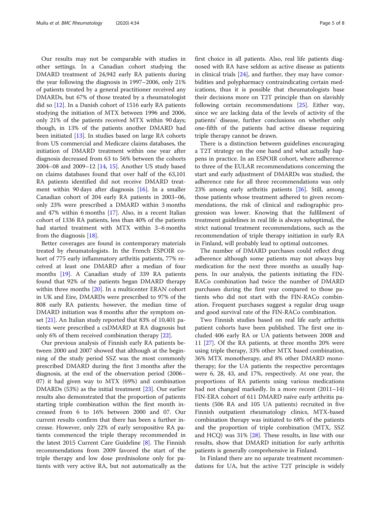Our results may not be comparable with studies in other settings. In a Canadian cohort studying the DMARD treatment of 24,942 early RA patients during the year following the diagnosis in 1997–2006, only 21% of patients treated by a general practitioner received any DMARDs, but 67% of those treated by a rheumatologist did so [12]. In a Danish cohort of 1516 early RA patients studying the initiation of MTX between 1996 and 2006, only 21% of the patients received MTX within 90 days; though, in 13% of the patients another DMARD had been initiated [13]. In studies based on large RA cohorts from US commercial and Medicare claims databases, the initiation of DMARD treatment within one year after diagnosis decreased from 63 to 56% between the cohorts 2004–08 and 2009–12 [14, 15]. Another US study based on claims databases found that over half of the 63,101 RA patients identified did not receive DMARD treatment within 90 days after diagnosis [16]. In a smaller Canadian cohort of 204 early RA patients in 2003–06, only 23% were prescribed a DMARD within 3 months and 47% within 6 months [17]. Also, in a recent Italian cohort of 1336 RA patients, less than 40% of the patients had started treatment with MTX within 3–6 months from the diagnosis [18].

Better coverages are found in contemporary materials treated by rheumatologists. In the French ESPOIR cohort of 775 early inflammatory arthritis patients, 77% received at least one DMARD after a median of four months [19]. A Canadian study of 339 RA patients found that 92% of the patients began DMARD therapy within three months [20]. In a multicenter ERAN cohort in UK and Eire, DMARDs were prescribed to 97% of the 808 early RA patients; however, the median time of DMARD initiation was 8 months after the symptom onset [21]. An Italian study reported that 83% of 10,401 patients were prescribed a csDMARD at RA diagnosis but only 6% of them received combination therapy [22].

Our previous analysis of Finnish early RA patients between 2000 and 2007 showed that although at the beginning of the study period SSZ was the most commonly prescribed DMARD during the first 3 months after the diagnosis, at the end of the observation period (2006– 07) it had given way to MTX (69%) and combination DMARDs (53%) as the initial treatment [23]. Our earlier results also demonstrated that the proportion of patients starting triple combination within the first month increased from 6 to 16% between 2000 and 07. Our current results confirm that there has been a further increase. However, only 22% of early seropositive RA patients commenced the triple therapy recommended in the latest 2015 Current Care Guideline [8]. The Finnish recommendations from 2009 favored the start of the triple therapy and low dose prednisolone only for patients with very active RA, but not automatically as the first choice in all patients. Also, real life patients diagnosed with RA have seldom as active disease as patients in clinical trials [24], and further, they may have comorbidities and polypharmacy contraindicating certain medications, thus it is possible that rheumatologists base their decisions more on T2T principle than on slavishly following certain recommendations [25]. Either way, since we are lacking data of the levels of activity of the patients' disease, further conclusions on whether only one-fifth of the patients had active disease requiring triple therapy cannot be drawn.

There is a distinction between guidelines encouraging a T2T strategy on the one hand and what actually happens in practice. In an ESPOIR cohort, where adherence to three of the EULAR recommendations concerning the start and early adjustment of DMARDs was studied, the adherence rate for all three recommendations was only 23% among early arthritis patients [26]. Still, among those patients whose treatment adhered to given recommendations, the risk of clinical and radiographic progression was lower. Knowing that the fulfilment of treatment guidelines in real life is always suboptimal, the strict national treatment recommendations, such as the recommendation of triple therapy initiation in early RA in Finland, will probably lead to optimal outcomes.

The number of DMARD purchases could reflect drug adherence although some patients may not always buy medication for the next three months as usually happens. In our analysis, the patients initiating the FIN-RACo combination had twice the number of DMARD purchases during the first year compared to those patients who did not start with the FIN-RACo combination. Frequent purchases suggest a regular drug usage and good survival rate of the FIN-RACo combination.

Two Finnish studies based on real life early arthritis patient cohorts have been published. The first one included 406 early RA or UA patients between 2008 and 11 [27]. Of the RA patients, at three months 20% were using triple therapy, 33% other MTX based combination, 36% MTX monotherapy, and 8% other DMARD monotherapy; for the UA patients the respective percentages were 6, 28, 43, and 17%, respectively. At one year, the proportions of RA patients using various medications had not changed markedly. In a more recent (2011–14) FIN-ERA cohort of 611 DMARD naïve early arthritis patients (506 RA and 105 UA patients) recruited in five Finnish outpatient rheumatology clinics, MTX-based combination therapy was initiated to 68% of the patients and the proportion of triple combination (MTX, SSZ and HCQ) was 31% [28]. These results, in line with our results, show that DMARD initiation for early arthritis patients is generally comprehensive in Finland.

In Finland there are no separate treatment recommendations for UA, but the active T2T principle is widely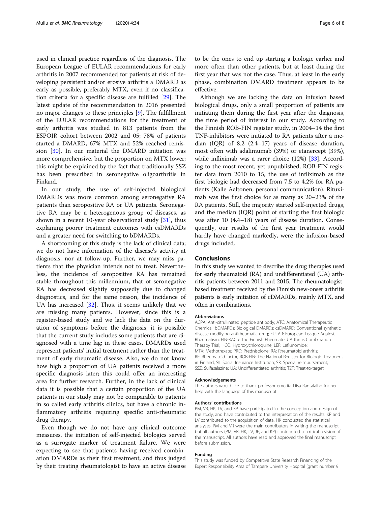used in clinical practice regardless of the diagnosis. The European League of EULAR recommendations for early arthritis in 2007 recommended for patients at risk of developing persistent and/or erosive arthritis a DMARD as early as possible, preferably MTX, even if no classification criteria for a specific disease are fulfilled [29]. The latest update of the recommendation in 2016 presented no major changes to these principles [9]. The fulfillment of the EULAR recommendations for the treatment of early arthritis was studied in 813 patients from the ESPOIR cohort between 2002 and 05; 78% of patients started a DMARD, 67% MTX and 52% reached remission [30]. In our material the DMARD initiation was more comprehensive, but the proportion on MTX lower; this might be explained by the fact that traditionally SSZ has been prescribed in seronegative oligoarthritis in Finland.

In our study, the use of self-injected biological DMARDs was more common among seronegative RA patients than seropositive RA or UA patients. Seronegative RA may be a heterogenous group of diseases, as shown in a recent 10-year observational study [31], thus explaining poorer treatment outcomes with csDMARDs and a greater need for switching to bDMARDs.

A shortcoming of this study is the lack of clinical data; we do not have information of the disease's activity at diagnosis, nor at follow-up. Further, we may miss patients that the physician intends not to treat. Nevertheless, the incidence of seropositive RA has remained stable throughout this millennium, that of seronegative RA has decreased slightly supposedly due to changed diagnostics, and for the same reason, the incidence of UA has increased  $[32]$ . Thus, it seems unlikely that we are missing many patients. However, since this is a register-based study and we lack the data on the duration of symptoms before the diagnosis, it is possible that the current study includes some patients that are diagnosed with a time lag; in these cases, DMARDs used represent patients' initial treatment rather than the treatment of early rheumatic disease. Also, we do not know how high a proportion of UA patients received a more specific diagnosis later; this could offer an interesting area for further research. Further, in the lack of clinical data it is possible that a certain proportion of the UA patients in our study may not be comparable to patients in so called early arthritis clinics, but have a chronic inflammatory arthritis requiring specific anti-rheumatic drug therapy.

Even though we do not have any clinical outcome measures, the initiation of self-injected biologics served as a surrogate marker of treatment failure. We were expecting to see that patients having received combination DMARDs as their first treatment, and thus judged by their treating rheumatologist to have an active disease

to be the ones to end up starting a biologic earlier and more often than other patients, but at least during the first year that was not the case. Thus, at least in the early phase, combination DMARD treatment appears to be effective.

Although we are lacking the data on infusion based biological drugs, only a small proportion of patients are initiating them during the first year after the diagnosis, the time period of interest in our study. According to the Finnish ROB-FIN register study, in 2004–14 the first TNF-inhibitors were initiated to RA patients after a median (IQR) of 8.2 (2.4–17) years of disease duration, most often with adalimumab (39%) or etanercept (39%), while infliximab was a rarer choice (12%) [33]. According to the most recent, yet unpublished, ROB-FIN register data from 2010 to 15, the use of infliximab as the first biologic had decreased from 7.5 to 4.2% for RA patients (Kalle Aaltonen, personal communication). Rituximab was the first choice for as many as 20–23% of the RA patients. Still, the majority started self-injected drugs, and the median (IQR) point of starting the first biologic was after 10 (4.4–18) years of disease duration. Consequently, our results of the first year treatment would hardly have changed markedly, were the infusion-based drugs included.

## Conclusions

In this study we wanted to describe the drug therapies used for early rheumatoid (RA) and undifferentiated (UA) arthritis patients between 2011 and 2015. The rheumatologistbased treatment received by the Finnish new-onset arthritis patients is early initiation of cDMARDs, mainly MTX, and often in combinations.

#### **Abbreviations**

ACPA: Anti-citrullinated peptide antibody; ATC: Anatomical Therapeutic Chemical; bDMARDs: Biological DMARDs; csDMARD: Conventional synthetic disease modifying antirheumatic drug; EULAR: European League Against Rheumatism; FIN-RACo: The Finnish Rheumatoid Arthritis Combination Therapy Trial; HCQ: Hydroxychloroquine; LEF: Leflunomide; MTX: Methotrexate; PRD: Prednisolone; RA: Rheumatoid arthritis; RF: Rheumatoid factor; ROB-FIN: The National Register for Biologic Treatment in Finland; SII: Social Insurance Institution; SR: Special reimbursement; SSZ: Sulfasalazine; UA: Undifferentiated arthritis; T2T: Treat-to-target

#### Acknowledgements

The authors would like to thank professor emerita Liisa Rantalaiho for her help with the language of this manuscript.

#### Authors' contributions

PM, VR, HK, LV, and KP have participated in the conception and design of the study, and have contributed to the interpretation of the results. KP and LV contributed to the acquisition of data. HK conducted the statistical analyses. PM and VR were the main contributors in writing the manuscript, but all authors (PM, VR, HK, LV, JE, and KP) contributed to critical revision of the manuscript. All authors have read and approved the final manuscript before submission.

#### Funding

This study was funded by Competitive State Research Financing of the Expert Responsibility Area of Tampere University Hospital (grant number 9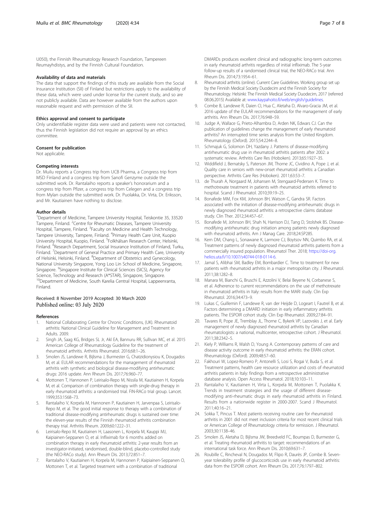U050), the Finnish Rheumatology Research Foundation, Tampereen Reumayhdistys, and by the Finnish Cultural Foundation.

#### Availability of data and materials

The data that support the findings of this study are available from the Social Insurance Institution (SII) of Finland but restrictions apply to the availability of these data, which were used under license for the current study, and so are not publicly available. Data are however available from the authors upon reasonable request and with permission of the SII.

### Ethics approval and consent to participate

Only unidentifiable register data were used and patients were not contacted, thus the Finnish legislation did not require an approval by an ethics committee.

#### Consent for publication

Not applicable.

#### Competing interests

Dr. Muilu reports a Congress trip from UCB Pharma, a Congress trip from MSD Finland and a congress trip from Sanofi Genzyme outside the submitted work. Dr. Rantalaiho reports a speaker's honorarium and a congress trip from Pfizer, a congress trip from Celegen and a congress trip from Mylan outside the submitted work. Dr. Puolakka, Dr. Virta, Dr. Eriksson, and Mr. Kautiainen have nothing to disclose.

#### Author details

<sup>1</sup>Department of Medicine, Tampere University Hospital, Teiskontie 35, 33520 Tampere, Finland. <sup>2</sup>Centre for Rheumatic Diseases, Tampere University Hospital, Tampere, Finland. <sup>3</sup>Faculty on Medicine and Health Technology, Tampere University, Tampere, Finland. <sup>4</sup> Primary Health Care Unit, Kuopio University Hospital, Kuopio, Finland. <sup>5</sup>Folkhälsan Research Center, Helsinki, Finland. <sup>6</sup>Research Department, Social Insurance Institution of Finland, Turku, Finland. <sup>7</sup>Department of General Practice and Primary Health Care, University of Helsinki, Helsinki, Finland. <sup>8</sup>Department of Obstetrics and Gynecology, National University Singapore, Yong Loo Lin School of Medicine, Singapore, Singapore. <sup>9</sup>Singapore Institute for Clinical Sciences (SICS), Agency for Science, Technology and Research (A\*STAR), Singapore, Singapore. <sup>10</sup>Department of Medicine, South Karelia Central Hospital, Lappeenranta, Finland.

#### Received: 8 November 2019 Accepted: 30 March 2020 Published online: 03 July 2020

#### References

- 1. National Collaborating Centre for Chronic Conditions, (UK). Rheumatoid arthritis: National Clinical Guideline for Management and Treatment in Adults. 2009.
- 2. Singh JA, Saag KG, Bridges SL Jr, Akl EA, Bannuru RR, Sullivan MC, et al. 2015 American College of Rheumatology Guideline for the treatment of rheumatoid arthritis. Arthritis Rheumatol. 2016;68:1–26.
- Smolen JS, Landewe R, Bijlsma J, Burmester G, Chatzidionysiou K, Dougados M, et al. EULAR recommendations for the management of rheumatoid arthritis with synthetic and biological disease-modifying antirheumatic drugs: 2016 update. Ann Rheum Dis. 2017;76:960–77.
- 4. Mottonen T, Hannonen P, Leirisalo-Repo M, Nissila M, Kautiainen H, Korpela M, et al. Comparison of combination therapy with single-drug therapy in early rheumatoid arthritis: a randomised trial. FIN-RACo trial group. Lancet. 1999;353:1568–73.
- Rantalaiho V, Korpela M, Hannonen P, Kautiainen H, Jarvenpaa S, Leirisalo-Repo M, et al. The good initial response to therapy with a combination of traditional disease-modifying antirheumatic drugs is sustained over time: the eleven-year results of the Finnish rheumatoid arthritis combination therapy trial. Arthritis Rheum. 2009;60:1222–31.
- 6. Leirisalo-Repo M, Kautiainen H, Laasonen L, Korpela M, Kauppi MJ, Kaipiainen-Seppanen O, et al. Infliximab for 6 months added on combination therapy in early rheumatoid arthritis: 2-year results from an investigator-initiated, randomised, double-blind, placebo-controlled study (the NEO-RACo study). Ann Rheum Dis. 2013;72:851–7.
- 7. Rantalaiho V, Kautiainen H, Korpela M, Hannonen P, Kaipiainen-Seppanen O, Mottonen T, et al. Targeted treatment with a combination of traditional
- 8. Rheumatoid arthritis (online). Current Care Guidelines. Working group set up by the Finnish Medical Society Duodecim and the Finnish Society for Rheumatology. Helsinki: The Finnish Medical Society Duodecim, 2017 (referred 08.06.2015) Available at: [www.kaypahoito.fi/web/english/guidelines.](http://www.kaypahoito.fi/web/english/guidelines)
- Combe B, Landewe R, Daien CI, Hua C, Aletaha D, Alvaro-Gracia JM, et al. 2016 update of the EULAR recommendations for the management of early arthritis. Ann Rheum Dis. 2017;76:948–59.
- 10. Judge A, Wallace G, Prieto-Alhambra D, Arden NK, Edwars CJ. Can the publication of guidelines change the management of early rheumatoid arthritis? An interrupted time series analysis from the United Kingdom. Rheumatology (Oxford). 2015;54:2244–8.
- 11. Schmajuk G, Solomon DH, Yazdany J. Patterns of disease-modifying antirheumatic drug use in rheumatoid arthritis patients after 2002: a systematic review. Arthritis Care Res (Hoboken). 2013;65:1927–35.
- 12. Widdifield J, Bernatsky S, Paterson JM, Thorne JC, Cividino A, Pope J, et al. Quality care in seniors with new-onset rheumatoid arthritis: a Canadian perspective. Arthritis Care Res (Hoboken). 2011;63:53–7.
- 13. de Thurah A, Norgaard M, Johansen M, Stengaard-Pedersen K. Time to methotrexate treatment in patients with rheumatoid arthritis referred to hospital. Scand J Rheumatol. 2010;39:19–25.
- 14. Bonafede MM, Fox KM, Johnson BH, Watson C, Gandra SR. Factors associated with the initiation of disease-modifying antirheumatic drugs in newly diagnosed rheumatoid arthritis: a retrospective claims database study. Clin Ther. 2012;34:457–67.
- 15. Bonafede M, Johnson BH, Shah N, Harrison DJ, Tang D, Stolshek BS. Diseasemodifying antirheumatic drug initiation among patients newly diagnosed with rheumatoid arthritis. Am J Manag Care. 2018;24:SP285.
- 16. Kern DM, Chang L, Sonawane K, Larmore CJ, Boytsov NN, Quimbo RA, et al. Treatment patterns of newly diagnosed rheumatoid arthritis patients from a commercially insured population. Rheumatol Ther. 2018; [https://doi-org.](https://doi-org.helios.uta.fi/10.1007/s40744-018-0114-6) [helios.uta.fi/10.1007/s40744-018-0114-6.](https://doi-org.helios.uta.fi/10.1007/s40744-018-0114-6)
- 17. Jamal S, Alibhai SM, Badley EM, Bombardier C. Time to treatment for new patients with rheumatoid arthritis in a major metropolitan city. J Rheumatol. 2011;38:1282–8.
- 18. Manara M, Bianchi G, Bruschi E, Azzolini V, Belai Beyene N, Corbanese S, et al. Adherence to current recommendations on the use of methotrexate in rheumatoid arthritis in Italy: results from the MARI study. Clin Exp Rheumatol. 2016;34:473–9.
- 19. Lukas C, Guillemin F, Landewe R, van der Heijde D, Logeart I, Fautrel B, et al. Factors determining a DMARD initiation in early inflammatory arthritis patients. The ESPOIR cohort study. Clin Exp Rheumatol. 2009;27:84–91.
- 20. Tavares R, Pope JE, Tremblay JL, Thorne C, Bykerk VP, Lazovskis J, et al. Early management of newly diagnosed rheumatoid arthritis by Canadian rheumatologists: a national, multicenter, retrospective cohort. J Rheumatol. 2011;38:2342–5.
- 21. Kiely P, Williams R, Walsh D, Young A. Contemporary patterns of care and disease activity outcome in early rheumatoid arthritis: the ERAN cohort. Rheumatology (Oxford). 2009;48:57–60.
- 22. Fakhouri W, Lopez-Romero P, Antonelli S, Losi S, Rogai V, Buda S, et al. Treatment patterns, health care resource utilization and costs of rheumatoid arthritis patients in Italy: findings from a retrospective administrative database analysis. Open Access Rheumatol. 2018;10:103–11.
- 23. Rantalaiho V, Kautiainen H, Virta L, Korpela M, Mottonen T, Puolakka K. Trends in treatment strategies and the usage of different diseasemodifying anti-rheumatic drugs in early rheumatoid arthritis in Finland. Results from a nationwide register in 2000-2007. Scand J Rheumatol. 2011;40:16–21.
- 24. Sokka T, Pincus T. Most patients receiving routine care for rheumatoid arthritis in 2001 did not meet inclusion criteria for most recent clinical trials or American College of Rheumatology criteria for remission. J Rheumatol. 2003;30:1138–46.
- 25. Smolen JS, Aletaha D, Bijlsma JW, Breedveld FC, Boumpas D, Burmester G, et al. Treating rheumatoid arthritis to target: recommendations of an international task force. Ann Rheum Dis. 2010;69:631–7.
- 26. Roubille C, Rincheval N, Dougados M, Flipo R, Daurès JP, Combe B. Sevenyear tolerability profile of glucocorticoids use in early rheumatoid arthritis: data from the ESPOIR cohort. Ann Rheum Dis. 2017;76:1797–802.